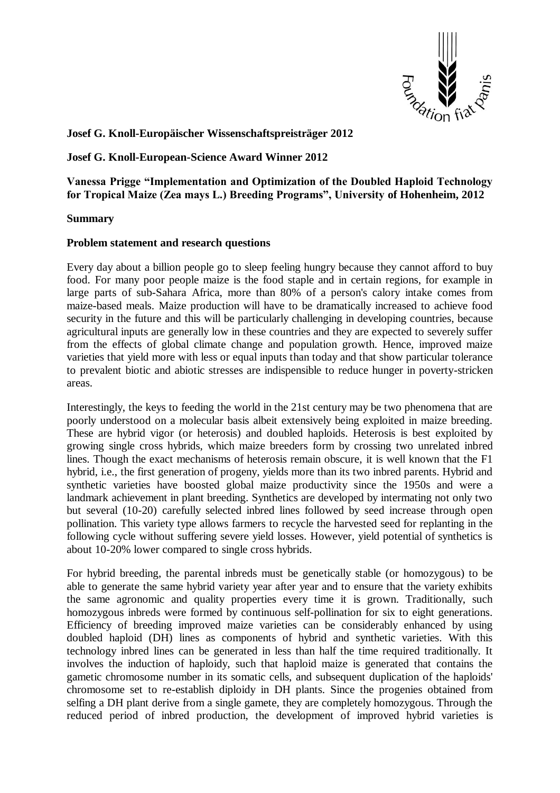

# **Josef G. Knoll-Europäischer Wissenschaftspreisträger 2012**

## **Josef G. Knoll-European-Science Award Winner 2012**

**Vanessa Prigge "Implementation and Optimization of the Doubled Haploid Technology for Tropical Maize (Zea mays L.) Breeding Programs", University of Hohenheim, 2012**

#### **Summary**

#### **Problem statement and research questions**

Every day about a billion people go to sleep feeling hungry because they cannot afford to buy food. For many poor people maize is the food staple and in certain regions, for example in large parts of sub-Sahara Africa, more than 80% of a person's calory intake comes from maize-based meals. Maize production will have to be dramatically increased to achieve food security in the future and this will be particularly challenging in developing countries, because agricultural inputs are generally low in these countries and they are expected to severely suffer from the effects of global climate change and population growth. Hence, improved maize varieties that yield more with less or equal inputs than today and that show particular tolerance to prevalent biotic and abiotic stresses are indispensible to reduce hunger in poverty-stricken areas.

Interestingly, the keys to feeding the world in the 21st century may be two phenomena that are poorly understood on a molecular basis albeit extensively being exploited in maize breeding. These are hybrid vigor (or heterosis) and doubled haploids. Heterosis is best exploited by growing single cross hybrids, which maize breeders form by crossing two unrelated inbred lines. Though the exact mechanisms of heterosis remain obscure, it is well known that the F1 hybrid, i.e., the first generation of progeny, yields more than its two inbred parents. Hybrid and synthetic varieties have boosted global maize productivity since the 1950s and were a landmark achievement in plant breeding. Synthetics are developed by intermating not only two but several (10-20) carefully selected inbred lines followed by seed increase through open pollination. This variety type allows farmers to recycle the harvested seed for replanting in the following cycle without suffering severe yield losses. However, yield potential of synthetics is about 10-20% lower compared to single cross hybrids.

For hybrid breeding, the parental inbreds must be genetically stable (or homozygous) to be able to generate the same hybrid variety year after year and to ensure that the variety exhibits the same agronomic and quality properties every time it is grown. Traditionally, such homozygous inbreds were formed by continuous self-pollination for six to eight generations. Efficiency of breeding improved maize varieties can be considerably enhanced by using doubled haploid (DH) lines as components of hybrid and synthetic varieties. With this technology inbred lines can be generated in less than half the time required traditionally. It involves the induction of haploidy, such that haploid maize is generated that contains the gametic chromosome number in its somatic cells, and subsequent duplication of the haploids' chromosome set to re-establish diploidy in DH plants. Since the progenies obtained from selfing a DH plant derive from a single gamete, they are completely homozygous. Through the reduced period of inbred production, the development of improved hybrid varieties is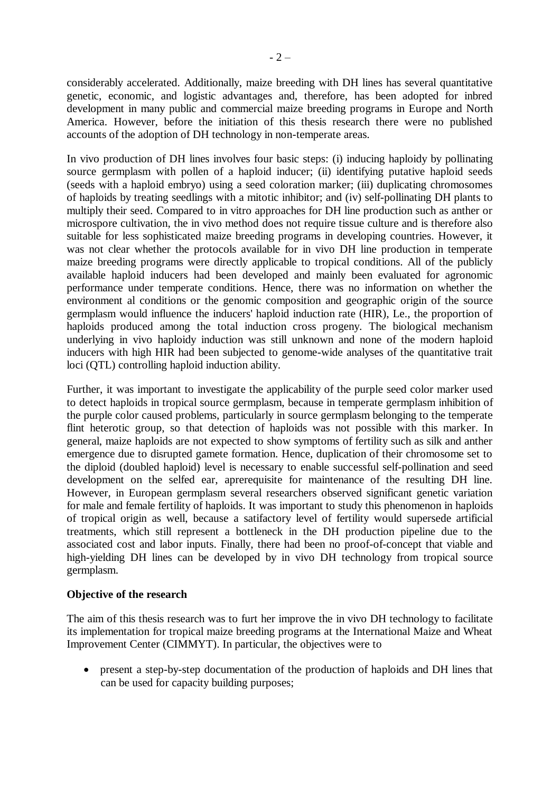considerably accelerated. Additionally, maize breeding with DH lines has several quantitative genetic, economic, and logistic advantages and, therefore, has been adopted for inbred development in many public and commercial maize breeding programs in Europe and North America. However, before the initiation of this thesis research there were no published accounts of the adoption of DH technology in non-temperate areas.

In vivo production of DH lines involves four basic steps: (i) inducing haploidy by pollinating source germplasm with pollen of a haploid inducer; (ii) identifying putative haploid seeds (seeds with a haploid embryo) using a seed coloration marker; (iii) duplicating chromosomes of haploids by treating seedlings with a mitotic inhibitor; and (iv) self-pollinating DH plants to multiply their seed. Compared to in vitro approaches for DH line production such as anther or microspore cultivation, the in vivo method does not require tissue culture and is therefore also suitable for less sophisticated maize breeding programs in developing countries. However, it was not clear whether the protocols available for in vivo DH line production in temperate maize breeding programs were directly applicable to tropical conditions. All of the publicly available haploid inducers had been developed and mainly been evaluated for agronomic performance under temperate conditions. Hence, there was no information on whether the environment al conditions or the genomic composition and geographic origin of the source germplasm would influence the inducers' haploid induction rate (HIR), Le., the proportion of haploids produced among the total induction cross progeny. The biological mechanism underlying in vivo haploidy induction was still unknown and none of the modern haploid inducers with high HIR had been subjected to genome-wide analyses of the quantitative trait loci (QTL) controlling haploid induction ability.

Further, it was important to investigate the applicability of the purple seed color marker used to detect haploids in tropical source germplasm, because in temperate germplasm inhibition of the purple color caused problems, particularly in source germplasm belonging to the temperate flint heterotic group, so that detection of haploids was not possible with this marker. In general, maize haploids are not expected to show symptoms of fertility such as silk and anther emergence due to disrupted gamete formation. Hence, duplication of their chromosome set to the diploid (doubled haploid) level is necessary to enable successful self-pollination and seed development on the selfed ear, aprerequisite for maintenance of the resulting DH line. However, in European germplasm several researchers observed significant genetic variation for male and female fertility of haploids. It was important to study this phenomenon in haploids of tropical origin as well, because a satifactory level of fertility would supersede artificial treatments, which still represent a bottleneck in the DH production pipeline due to the associated cost and labor inputs. Finally, there had been no proof-of-concept that viable and high-yielding DH lines can be developed by in vivo DH technology from tropical source germplasm.

## **Objective of the research**

The aim of this thesis research was to furt her improve the in vivo DH technology to facilitate its implementation for tropical maize breeding programs at the International Maize and Wheat Improvement Center (CIMMYT). In particular, the objectives were to

 present a step-by-step documentation of the production of haploids and DH lines that can be used for capacity building purposes;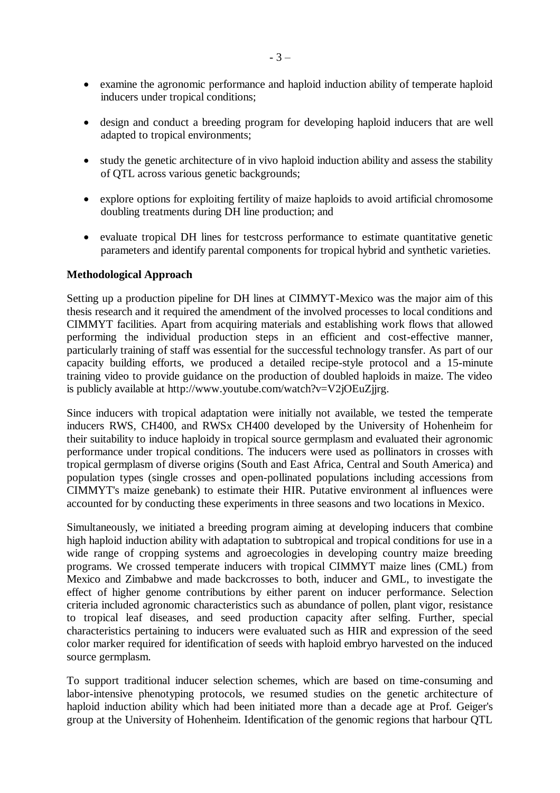- examine the agronomic performance and haploid induction ability of temperate haploid inducers under tropical conditions;
- design and conduct a breeding program for developing haploid inducers that are well adapted to tropical environments;
- study the genetic architecture of in vivo haploid induction ability and assess the stability of QTL across various genetic backgrounds;
- explore options for exploiting fertility of maize haploids to avoid artificial chromosome doubling treatments during DH line production; and
- evaluate tropical DH lines for testcross performance to estimate quantitative genetic parameters and identify parental components for tropical hybrid and synthetic varieties.

## **Methodological Approach**

Setting up a production pipeline for DH lines at CIMMYT-Mexico was the major aim of this thesis research and it required the amendment of the involved processes to local conditions and CIMMYT facilities. Apart from acquiring materials and establishing work flows that allowed performing the individual production steps in an efficient and cost-effective manner, particularly training of staff was essential for the successful technology transfer. As part of our capacity building efforts, we produced a detailed recipe-style protocol and a 15-minute training video to provide guidance on the production of doubled haploids in maize. The video is publicly available at http://www.youtube.com/watch?v=V2jOEuZjjrg.

Since inducers with tropical adaptation were initially not available, we tested the temperate inducers RWS, CH400, and RWSx CH400 developed by the University of Hohenheim for their suitability to induce haploidy in tropical source germplasm and evaluated their agronomic performance under tropical conditions. The inducers were used as pollinators in crosses with tropical germplasm of diverse origins (South and East Africa, Central and South America) and population types (single crosses and open-pollinated populations including accessions from CIMMYT's maize genebank) to estimate their HIR. Putative environment al influences were accounted for by conducting these experiments in three seasons and two locations in Mexico.

Simultaneously, we initiated a breeding program aiming at developing inducers that combine high haploid induction ability with adaptation to subtropical and tropical conditions for use in a wide range of cropping systems and agroecologies in developing country maize breeding programs. We crossed temperate inducers with tropical CIMMYT maize lines (CML) from Mexico and Zimbabwe and made backcrosses to both, inducer and GML, to investigate the effect of higher genome contributions by either parent on inducer performance. Selection criteria included agronomic characteristics such as abundance of pollen, plant vigor, resistance to tropical leaf diseases, and seed production capacity after selfing. Further, special characteristics pertaining to inducers were evaluated such as HIR and expression of the seed color marker required for identification of seeds with haploid embryo harvested on the induced source germplasm.

To support traditional inducer selection schemes, which are based on time-consuming and labor-intensive phenotyping protocols, we resumed studies on the genetic architecture of haploid induction ability which had been initiated more than a decade age at Prof. Geiger's group at the University of Hohenheim. Identification of the genomic regions that harbour QTL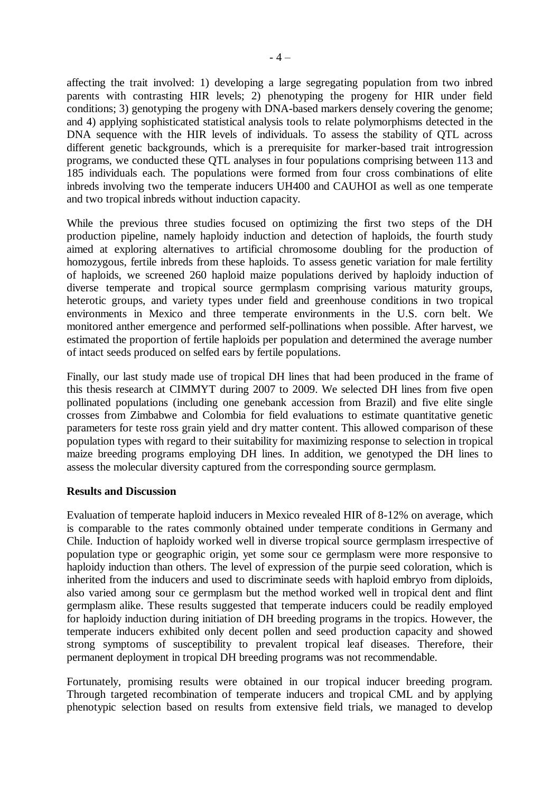affecting the trait involved: 1) developing a large segregating population from two inbred parents with contrasting HIR levels; 2) phenotyping the progeny for HIR under field conditions; 3) genotyping the progeny with DNA-based markers densely covering the genome; and 4) applying sophisticated statistical analysis tools to relate polymorphisms detected in the DNA sequence with the HIR levels of individuals. To assess the stability of QTL across different genetic backgrounds, which is a prerequisite for marker-based trait introgression programs, we conducted these QTL analyses in four populations comprising between 113 and 185 individuals each. The populations were formed from four cross combinations of elite inbreds involving two the temperate inducers UH400 and CAUHOI as well as one temperate and two tropical inbreds without induction capacity.

While the previous three studies focused on optimizing the first two steps of the DH production pipeline, namely haploidy induction and detection of haploids, the fourth study aimed at exploring alternatives to artificial chromosome doubling for the production of homozygous, fertile inbreds from these haploids. To assess genetic variation for male fertility of haploids, we screened 260 haploid maize populations derived by haploidy induction of diverse temperate and tropical source germplasm comprising various maturity groups, heterotic groups, and variety types under field and greenhouse conditions in two tropical environments in Mexico and three temperate environments in the U.S. corn belt. We monitored anther emergence and performed self-pollinations when possible. After harvest, we estimated the proportion of fertile haploids per population and determined the average number of intact seeds produced on selfed ears by fertile populations.

Finally, our last study made use of tropical DH lines that had been produced in the frame of this thesis research at CIMMYT during 2007 to 2009. We selected DH lines from five open pollinated populations (including one genebank accession from Brazil) and five elite single crosses from Zimbabwe and Colombia for field evaluations to estimate quantitative genetic parameters for teste ross grain yield and dry matter content. This allowed comparison of these population types with regard to their suitability for maximizing response to selection in tropical maize breeding programs employing DH lines. In addition, we genotyped the DH lines to assess the molecular diversity captured from the corresponding source germplasm.

## **Results and Discussion**

Evaluation of temperate haploid inducers in Mexico revealed HIR of 8-12% on average, which is comparable to the rates commonly obtained under temperate conditions in Germany and Chile. Induction of haploidy worked well in diverse tropical source germplasm irrespective of population type or geographic origin, yet some sour ce germplasm were more responsive to haploidy induction than others. The level of expression of the purpie seed coloration, which is inherited from the inducers and used to discriminate seeds with haploid embryo from diploids, also varied among sour ce germplasm but the method worked well in tropical dent and flint germplasm alike. These results suggested that temperate inducers could be readily employed for haploidy induction during initiation of DH breeding programs in the tropics. However, the temperate inducers exhibited only decent pollen and seed production capacity and showed strong symptoms of susceptibility to prevalent tropical leaf diseases. Therefore, their permanent deployment in tropical DH breeding programs was not recommendable.

Fortunately, promising results were obtained in our tropical inducer breeding program. Through targeted recombination of temperate inducers and tropical CML and by applying phenotypic selection based on results from extensive field trials, we managed to develop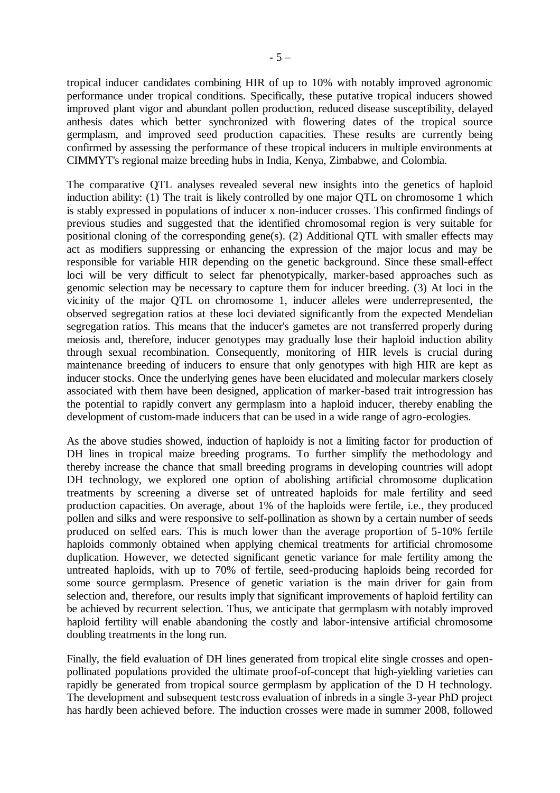tropical inducer candidates combining HIR of up to 10% with notably improved agronomic performance under tropical conditions. Specifically, these putative tropical inducers showed improved plant vigor and abundant pollen production, reduced disease susceptibility, delayed anthesis dates which better synchronized with flowering dates of the tropical source germplasm, and improved seed production capacities. These results are currently being confirmed by assessing the performance of these tropical inducers in multiple environments at CIMMYT's regional maize breeding hubs in India, Kenya, Zimbabwe, and Colombia.

The comparative QTL analyses revealed several new insights into the genetics of haploid induction ability: (1) The trait is likely controlled by one major QTL on chromosome 1 which is stably expressed in populations of inducer x non-inducer crosses. This confirmed findings of previous studies and suggested that the identified chromosomal region is very suitable for positional cloning of the corresponding gene(s). (2) Additional QTL with smaller effects may act as modifiers suppressing or enhancing the expression of the major locus and may be responsible for variable HIR depending on the genetic background. Since these small-effect loci will be very difficult to select far phenotypically, marker-based approaches such as genomic selection may be necessary to capture them for inducer breeding. (3) At loci in the vicinity of the major QTL on chromosome 1, inducer alleles were underrepresented, the observed segregation ratios at these loci deviated significantly from the expected Mendelian segregation ratios. This means that the inducer's gametes are not transferred properly during meiosis and, therefore, inducer genotypes may gradually lose their haploid induction ability through sexual recombination. Consequently, monitoring of HIR levels is crucial during maintenance breeding of inducers to ensure that only genotypes with high HIR are kept as inducer stocks. Once the underlying genes have been elucidated and molecular markers closely associated with them have been designed, application of marker-based trait introgression has the potential to rapidly convert any germplasm into a haploid inducer, thereby enabling the development of custom-made inducers that can be used in a wide range of agro-ecologies.

As the above studies showed, induction of haploidy is not a limiting factor for production of DH lines in tropical maize breeding programs. To further simplify the methodology and thereby increase the chance that small breeding programs in developing countries will adopt DH technology, we explored one option of abolishing artificial chromosome duplication treatments by screening a diverse set of untreated haploids for male fertility and seed production capacities. On average, about 1% of the haploids were fertile, i.e., they produced pollen and silks and were responsive to self-pollination as shown by a certain number of seeds produced on selfed ears. This is much lower than the average proportion of 5-10% fertile haploids commonly obtained when applying chemical treatments for artificial chromosome duplication. However, we detected significant genetic variance for male fertility among the untreated haploids, with up to 70% of fertile, seed-producing haploids being recorded for some source germplasm. Presence of genetic variation is the main driver for gain from selection and, therefore, our results imply that significant improvements of haploid fertility can be achieved by recurrent selection. Thus, we anticipate that germplasm with notably improved haploid fertility will enable abandoning the costly and labor-intensive artificial chromosome doubling treatments in the long run.

Finally, the field evaluation of DH lines generated from tropical elite single crosses and openpollinated populations provided the ultimate proof-of-concept that high-yielding varieties can rapidly be generated from tropical source germplasm by application of the D H technology. The development and subsequent testcross evaluation of inbreds in a single 3-year PhD project has hardly been achieved before. The induction crosses were made in summer 2008, followed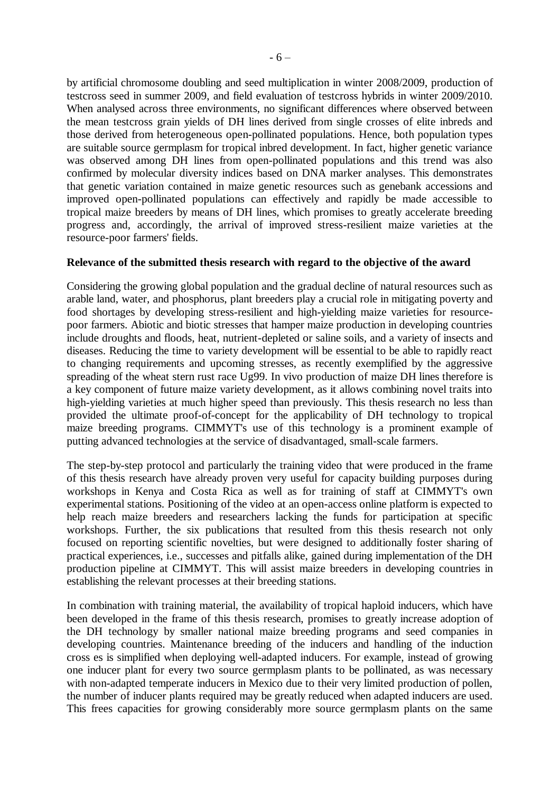by artificial chromosome doubling and seed multiplication in winter 2008/2009, production of testcross seed in summer 2009, and field evaluation of testcross hybrids in winter 2009/2010. When analysed across three environments, no significant differences where observed between the mean testcross grain yields of DH lines derived from single crosses of elite inbreds and those derived from heterogeneous open-pollinated populations. Hence, both population types are suitable source germplasm for tropical inbred development. In fact, higher genetic variance was observed among DH lines from open-pollinated populations and this trend was also confirmed by molecular diversity indices based on DNA marker analyses. This demonstrates that genetic variation contained in maize genetic resources such as genebank accessions and improved open-pollinated populations can effectively and rapidly be made accessible to tropical maize breeders by means of DH lines, which promises to greatly accelerate breeding progress and, accordingly, the arrival of improved stress-resilient maize varieties at the resource-poor farmers' fields.

#### **Relevance of the submitted thesis research with regard to the objective of the award**

Considering the growing global population and the gradual decline of natural resources such as arable land, water, and phosphorus, plant breeders play a crucial role in mitigating poverty and food shortages by developing stress-resilient and high-yielding maize varieties for resourcepoor farmers. Abiotic and biotic stresses that hamper maize production in developing countries include droughts and floods, heat, nutrient-depleted or saline soils, and a variety of insects and diseases. Reducing the time to variety development will be essential to be able to rapidly react to changing requirements and upcoming stresses, as recently exemplified by the aggressive spreading of the wheat stern rust race Ug99. In vivo production of maize DH lines therefore is a key component of future maize variety development, as it allows combining novel traits into high-yielding varieties at much higher speed than previously. This thesis research no less than provided the ultimate proof-of-concept for the applicability of DH technology to tropical maize breeding programs. CIMMYT's use of this technology is a prominent example of putting advanced technologies at the service of disadvantaged, small-scale farmers.

The step-by-step protocol and particularly the training video that were produced in the frame of this thesis research have already proven very useful for capacity building purposes during workshops in Kenya and Costa Rica as well as for training of staff at CIMMYT's own experimental stations. Positioning of the video at an open-access online platform is expected to help reach maize breeders and researchers lacking the funds for participation at specific workshops. Further, the six publications that resulted from this thesis research not only focused on reporting scientific novelties, but were designed to additionally foster sharing of practical experiences, i.e., successes and pitfalls alike, gained during implementation of the DH production pipeline at CIMMYT. This will assist maize breeders in developing countries in establishing the relevant processes at their breeding stations.

In combination with training material, the availability of tropical haploid inducers, which have been developed in the frame of this thesis research, promises to greatly increase adoption of the DH technology by smaller national maize breeding programs and seed companies in developing countries. Maintenance breeding of the inducers and handling of the induction cross es is simplified when deploying well-adapted inducers. For example, instead of growing one inducer plant for every two source germplasm plants to be pollinated, as was necessary with non-adapted temperate inducers in Mexico due to their very limited production of pollen, the number of inducer plants required may be greatly reduced when adapted inducers are used. This frees capacities for growing considerably more source germplasm plants on the same